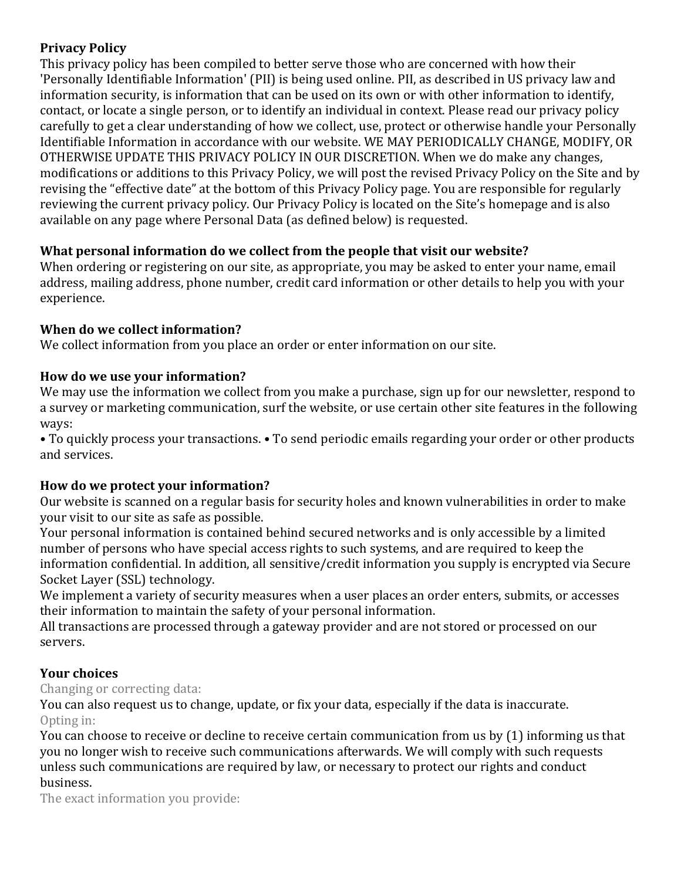## **Privacy Policy**

This privacy policy has been compiled to better serve those who are concerned with how their 'Personally Identifiable Information' (PII) is being used online. PII, as described in US privacy law and information security, is information that can be used on its own or with other information to identify, contact, or locate a single person, or to identify an individual in context. Please read our privacy policy carefully to get a clear understanding of how we collect, use, protect or otherwise handle your Personally Identifiable Information in accordance with our website. WE MAY PERIODICALLY CHANGE, MODIFY, OR OTHERWISE UPDATE THIS PRIVACY POLICY IN OUR DISCRETION. When we do make any changes, modifications or additions to this Privacy Policy, we will post the revised Privacy Policy on the Site and by revising the "effective date" at the bottom of this Privacy Policy page. You are responsible for regularly reviewing the current privacy policy. Our Privacy Policy is located on the Site's homepage and is also available on any page where Personal Data (as defined below) is requested.

# What personal information do we collect from the people that visit our website?

When ordering or registering on our site, as appropriate, you may be asked to enter your name, email address, mailing address, phone number, credit card information or other details to help you with your experience. 

## **When do we collect information?**

We collect information from you place an order or enter information on our site.

## How do we use your information?

We may use the information we collect from you make a purchase, sign up for our newsletter, respond to a survey or marketing communication, surf the website, or use certain other site features in the following ways: 

• To quickly process your transactions. • To send periodic emails regarding your order or other products and services.

## How do we protect your information?

Our website is scanned on a regular basis for security holes and known vulnerabilities in order to make your visit to our site as safe as possible.

Your personal information is contained behind secured networks and is only accessible by a limited number of persons who have special access rights to such systems, and are required to keep the information confidential. In addition, all sensitive/credit information you supply is encrypted via Secure Socket Layer (SSL) technology.

We implement a variety of security measures when a user places an order enters, submits, or accesses their information to maintain the safety of your personal information.

All transactions are processed through a gateway provider and are not stored or processed on our servers. 

# **Your choices**

## Changing or correcting data:

You can also request us to change, update, or fix your data, especially if the data is inaccurate. Opting in:

You can choose to receive or decline to receive certain communication from us by (1) informing us that you no longer wish to receive such communications afterwards. We will comply with such requests unless such communications are required by law, or necessary to protect our rights and conduct business.

The exact information you provide: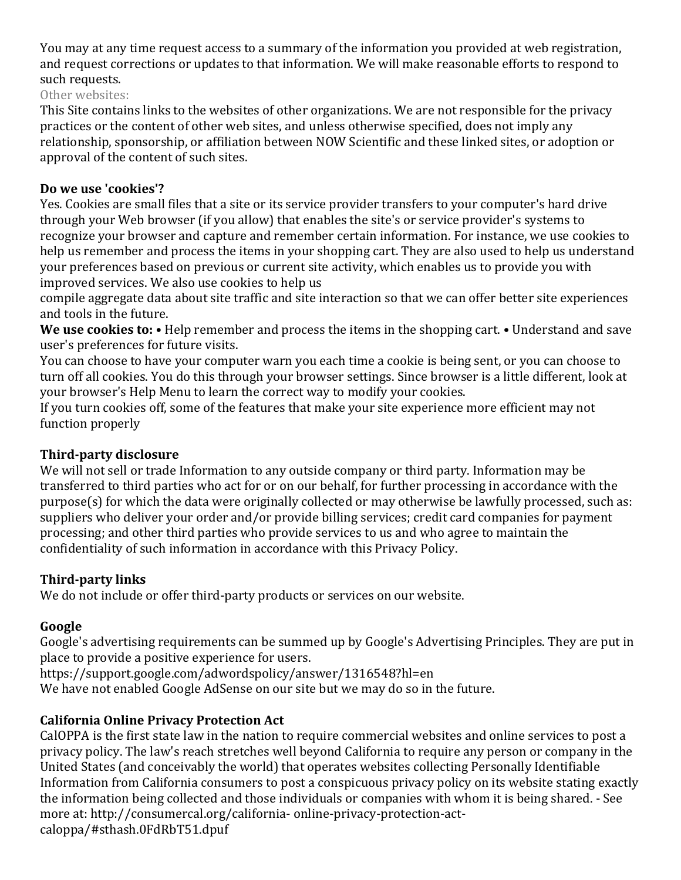You may at any time request access to a summary of the information you provided at web registration, and request corrections or updates to that information. We will make reasonable efforts to respond to such requests.

Other websites:

This Site contains links to the websites of other organizations. We are not responsible for the privacy practices or the content of other web sites, and unless otherwise specified, does not imply any relationship, sponsorship, or affiliation between NOW Scientific and these linked sites, or adoption or approval of the content of such sites.

#### Do we use 'cookies'?

Yes. Cookies are small files that a site or its service provider transfers to your computer's hard drive through your Web browser (if you allow) that enables the site's or service provider's systems to recognize your browser and capture and remember certain information. For instance, we use cookies to help us remember and process the items in your shopping cart. They are also used to help us understand your preferences based on previous or current site activity, which enables us to provide you with improved services. We also use cookies to help us

compile aggregate data about site traffic and site interaction so that we can offer better site experiences and tools in the future.

We use cookies to: • Help remember and process the items in the shopping cart. • Understand and save user's preferences for future visits.

You can choose to have your computer warn you each time a cookie is being sent, or you can choose to turn off all cookies. You do this through your browser settings. Since browser is a little different, look at your browser's Help Menu to learn the correct way to modify your cookies.

If you turn cookies off, some of the features that make your site experience more efficient may not function properly

## **Third-party disclosure**

We will not sell or trade Information to any outside company or third party. Information may be transferred to third parties who act for or on our behalf, for further processing in accordance with the  $p$ urpose(s) for which the data were originally collected or may otherwise be lawfully processed, such as: suppliers who deliver your order and/or provide billing services; credit card companies for payment processing; and other third parties who provide services to us and who agree to maintain the confidentiality of such information in accordance with this Privacy Policy.

## **Third-party links**

We do not include or offer third-party products or services on our website.

## Google

Google's advertising requirements can be summed up by Google's Advertising Principles. They are put in place to provide a positive experience for users.

https://support.google.com/adwordspolicy/answer/1316548?hl=en 

We have not enabled Google AdSense on our site but we may do so in the future.

## **California Online Privacy Protection Act**

CalOPPA is the first state law in the nation to require commercial websites and online services to post a privacy policy. The law's reach stretches well beyond California to require any person or company in the United States (and conceivably the world) that operates websites collecting Personally Identifiable Information from California consumers to post a conspicuous privacy policy on its website stating exactly the information being collected and those individuals or companies with whom it is being shared. - See more at: http://consumercal.org/california- online-privacy-protection-actcaloppa/#sthash.0FdRbT51.dpuf